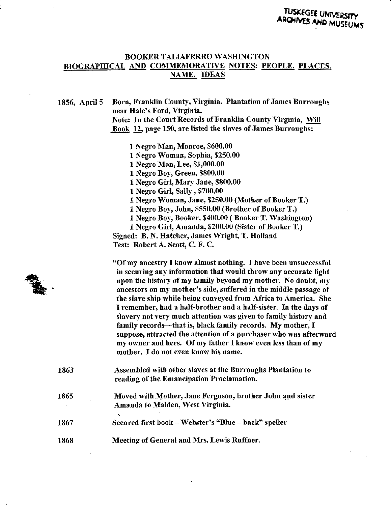## **BOOKER TALIAFERRO WASHINGTON BIOGRAPHICAL AND COMMEMORATIVE NOTES: PEOPLE, PLACES,** NAME, IDEAS

1856, April 5 Born, Franklin County, Virginia. Plantation of James Burroughs near Bale's Ford, Virginia. Note: In the Court Records of Franklin County Virginia, Will Book 12, page 150, are listed the slaves of James Burroughs:

> 1 Negro Man, Monroe, \$600.00 1 Negro Woman, Sophia, \$250.00 1 Negro Man, Lee, \$1,000.00 1 Negro Boy, Green, \$800.00 1 Negro Girl, Mary Jane, \$800.00 1 Negro Girl, Sally , \$700.00 1 Negro Woman, Jane, \$250.00 (Mother of Booker T.) 1 Negro Boy, John, \$550.00 (Brother of Booker T.) 1 Negro Boy, Booker, \$400.00 (Booker T. Washington) 1 Negro Girl, Amanda, \$200.00 (Sister of Booker T.) Signed: B. N. Hatcher, James Wright, T. Holland Test: Robert A. Scott, C. F. C.

"Of my ancestry I know almost nothing. I have been unsuccessful in securing any information that would throw any accurate light upon the history of my family beyond my mother. No doubt, my ancestors on my mother's side, suffered in the middle passage of the slave ship while being conveyed from Africa to America. She I remember, had a half-brother and a half-sister. In the days of slavery not very much attention was given to family history and family records—that is, black family records. My mother, I suppose, attracted the attention of a purchaser who was afterward my owner and hers. Of my father I know even less than of my mother. I do not even know his name.

- 1863 Assembled with other slaves at the Burroughs Plantation to reading of the Emancipation Proclamation.
- 1865 Moved with Mother, Jane Ferguson, brother John and sister Amanda to Maiden, West Virginia.
- 1867 Secured first book - Webster's "Blue - back" speller
- 1868 Meeting of General and Mrs. Lewis Ruffner.

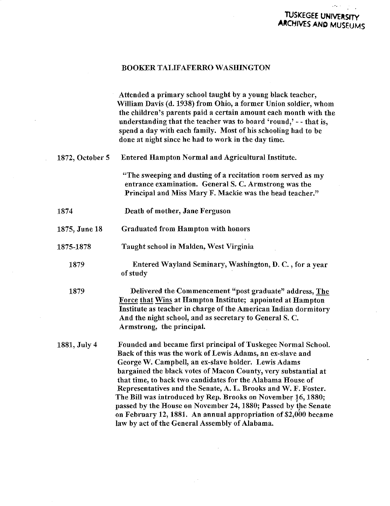## TUSKEGEE UNIVERSTTY ARCHIVES AND MUSEUMS

#### BOOKER TALIFAFERRO WASHINGTON

Attended a primary school taught by a young black teacher, William Davis (d. 1938) from Ohio, a former Union soldier, whom the children's parents paid a certain amount each month with the understanding that the teacher was to board 'round,' - - that is, spend a day with each family. Most of his schooling had to be done at night since he had to work in the day time. 1872, October 5 Entered Hampton Normal and Agricultural Institute. "The sweeping and dusting of a recitation room served as my entrance examination. General S. C. Armstrong was the Principal and Miss Mary F. Mackie was the head teacher." 1874 1875, June 18 1875-1878 1879 1879 1881, July 4 Death of mother, Jane Ferguson Graduated from Hampton with honors Taught school in Maiden, West Virginia Entered Wayland Seminary, Washington, D. C., for a year of study Delivered the Commencement "post graduate" address, The Force that Wins at Hampton Institute; appointed at Hampton Institute as teacher in charge of the American Indian dormitory And the nigbt school, and as secretary to General S. C. Armstrong, the principal. Founded and became first principal of Tuskegee Normal School. Back of this was the work of Lewis Adams, an ex-slave and George W. Campbell, an ex-slave holder. Lewis Adams bargained the black votes of Macon County, very substantial at that time, to back two candidates for the Alabama House of Representatives and the Senate, A. L. Brooks and W. F. Foster. The Bill was introduced by Rep. Brooks on November 16,1880; passed by the House on November 24,1880; Passed by the Senate on February 12,1881. An annual appropriation of \$2,000 became law by act of the General Assembly of Alabama.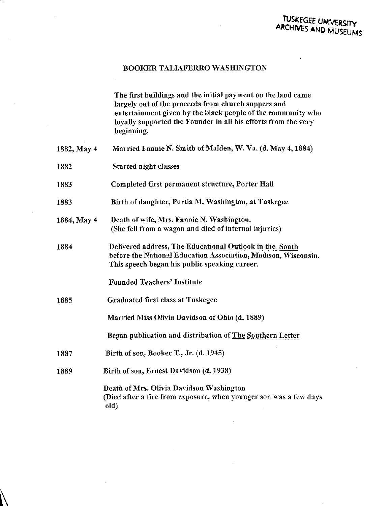### BOOKER TALIAEERRO WASHINGTON

The first buildings and the initial payment on the land came largely out of the proceeds from church suppers and entertainment given by the black people of the community who loyally supported the Founder in all his efforts from the very beginning.

| 1882, May 4 | Married Fannie N. Smith of Malden, W. Va. (d. May 4, 1884)                                                                                                                 |
|-------------|----------------------------------------------------------------------------------------------------------------------------------------------------------------------------|
| 1882        | Started night classes                                                                                                                                                      |
| 1883        | Completed first permanent structure, Porter Hall                                                                                                                           |
| 1883        | Birth of daughter, Portia M. Washington, at Tuskegee                                                                                                                       |
| 1884, May 4 | Death of wife, Mrs. Fannie N. Washington.<br>(She fell from a wagon and died of internal injuries)                                                                         |
| 1884        | Delivered address, The Educational Outlook in the South<br>before the National Education Association, Madison, Wisconsin.<br>This speech began his public speaking career. |
|             | <b>Founded Teachers' Institute</b>                                                                                                                                         |
| 1885        | Graduated first class at Tuskegee                                                                                                                                          |
|             | Married Miss Olivia Davidson of Ohio (d. 1889)                                                                                                                             |
|             | Began publication and distribution of The Southern Letter                                                                                                                  |
| 1887        | Birth of son, Booker T., Jr. (d. 1945)                                                                                                                                     |
| 1889        | Birth of son, Ernest Davidson (d. 1938)                                                                                                                                    |
|             | Death of Mrs. Olivia Davidson Washington<br>(Died after a fire from exposure, when younger son was a few days<br>old)                                                      |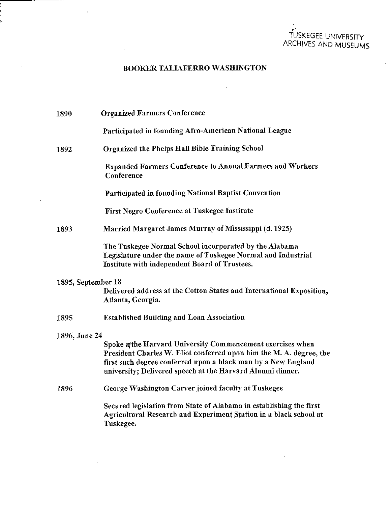# TUSKEGEE UNIVERSITY ARCHIVES AND MUSEUMS

 $\mathcal{L}$ 

 $\mathcal{L}$ 

## BOOKER TAIJAFERRO WASHINGTON

 $\sim$ 

man a

 $\sim$   $\alpha$ 

 $\sim 10^{11}$  $\sim$ 

 $\sim$ 

 $\sim$ 

 $\sim$ 

ウェルト しゅうしゅ

 $\sim$ 

| 1890               | <b>Organized Farmers Conference</b>                                                                                                                                                                                                                               |
|--------------------|-------------------------------------------------------------------------------------------------------------------------------------------------------------------------------------------------------------------------------------------------------------------|
|                    | Participated in founding Afro-American National League                                                                                                                                                                                                            |
| 1892               | <b>Organized the Phelps Hall Bible Training School</b>                                                                                                                                                                                                            |
|                    | <b>Expanded Farmers Conference to Annual Farmers and Workers</b><br>Conference                                                                                                                                                                                    |
|                    | <b>Participated in founding National Baptist Convention</b>                                                                                                                                                                                                       |
|                    | <b>First Negro Conference at Tuskegee Institute</b>                                                                                                                                                                                                               |
| 1893               | Married Margaret James Murray of Mississippi (d. 1925)                                                                                                                                                                                                            |
|                    | The Tuskegee Normal School incorporated by the Alabama<br>Legislature under the name of Tuskegee Normal and Industrial<br>Institute with independent Board of Trustees.                                                                                           |
| 1895, September 18 | Delivered address at the Cotton States and International Exposition,<br>Atlanta, Georgia.                                                                                                                                                                         |
| 1895               | <b>Established Building and Loan Association</b>                                                                                                                                                                                                                  |
| 1896, June 24      |                                                                                                                                                                                                                                                                   |
|                    | Spoke at the Harvard University Commencement exercises when<br>President Charles W. Eliot conferred upon him the M. A. degree, the<br>first such degree conferred upon a black man by a New England<br>university; Delivered speech at the Harvard Alumni dinner. |
| 1896               | George Washington Carver joined faculty at Tuskegee                                                                                                                                                                                                               |
|                    | Secured legislation from State of Alabama in establishing the first<br>Agricultural Research and Experiment Station in a black school at<br>Tuskegee.                                                                                                             |
|                    |                                                                                                                                                                                                                                                                   |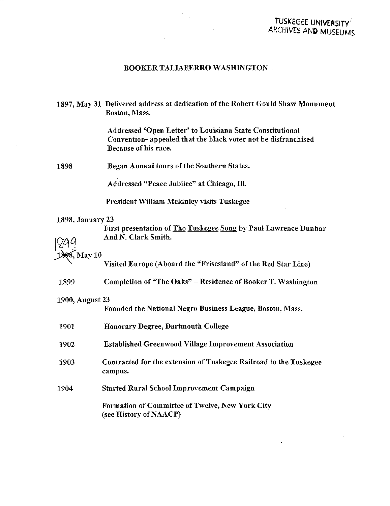# TUSKEGEE UNIVERSITY ARCHIVES AND MUSEUMS

### BOOKER TALIAFERRO WASHINGTON

1897, May 31 Delivered address at dedication of the Robert Gould Shaw Monument Boston, Mass.

> Addressed 'Open Letter' to Louisiana State Constitutional Convention- appealed that the black voter not be disfranchised Because of his race.

1898 Began Annual tours of the Southern States.

Addressed "Peace Jubilee" at Chicago, HI.

President William Mckinley visits Tuskegee

### 1898, January 23

First presentation of The Tuskegee Song by Paul Lawrence Dunbar 799 And N. Clark Smith.

# 1898. May 10

Visited Europe (Aboard the "Frisesland" of the Red Star Line)

1899 Completion of "The Oaks" - Residence of Booker T. Washington

### 1900, August 23

Founded the National Negro Business League, Boston, Mass.

| 1901 | <b>Honorary Degree, Dartmouth College</b>                                        |
|------|----------------------------------------------------------------------------------|
| 1902 | <b>Established Greenwood Village Improvement Association</b>                     |
| 1903 | Contracted for the extension of Tuskegee Railroad to the Tuskegee<br>campus.     |
| 1904 | <b>Started Rural School Improvement Campaign</b>                                 |
|      | <b>Formation of Committee of Twelve, New York City</b><br>(see History of NAACP) |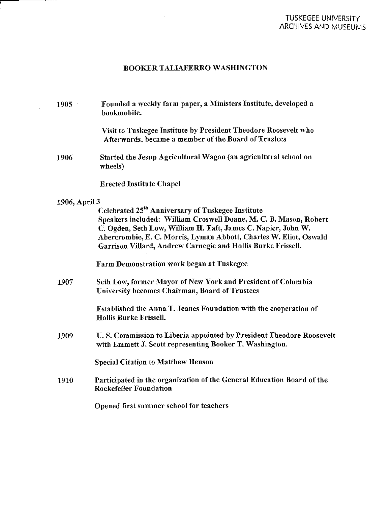# BOOKER TALIAFERRO WASHINGTON

 $\mathcal{L}_{\mathcal{A}}$ 

 $\hat{\mathcal{A}}$ 

\_\_\_\_\_\_

 $\sim 10^{-1}$ 

 $\sim$   $\sim$ 

| 1905          | Founded a weekly farm paper, a Ministers Institute, developed a<br>bookmobile.                                                                                                                                                                                                                                                           |
|---------------|------------------------------------------------------------------------------------------------------------------------------------------------------------------------------------------------------------------------------------------------------------------------------------------------------------------------------------------|
|               | Visit to Tuskegee Institute by President Theodore Roosevelt who<br>Afterwards, became a member of the Board of Trustees                                                                                                                                                                                                                  |
| 1906          | Started the Jesup Agricultural Wagon (an agricultural school on<br>wheels)                                                                                                                                                                                                                                                               |
|               | <b>Erected Institute Chapel</b>                                                                                                                                                                                                                                                                                                          |
| 1906, April 3 |                                                                                                                                                                                                                                                                                                                                          |
|               | Celebrated 25 <sup>th</sup> Anniversary of Tuskegee Institute<br>Speakers included: William Croswell Doane, M. C. B. Mason, Robert<br>C. Ogden, Seth Low, William H. Taft, James C. Napier, John W.<br>Abercrombie, E. C. Morris, Lyman Abbott, Charles W. Eliot, Oswald<br>Garrison Villard, Andrew Carnegie and Hollis Burke Frissell. |
|               | <b>Farm Demonstration work began at Tuskegee</b>                                                                                                                                                                                                                                                                                         |
| 1907          | Seth Low, former Mayor of New York and President of Columbia<br>University becomes Chairman, Board of Trustees                                                                                                                                                                                                                           |
|               | Established the Anna T. Jeanes Foundation with the cooperation of<br>Hollis Burke Frissell.                                                                                                                                                                                                                                              |
| 1909          | U.S. Commission to Liberia appointed by President Theodore Roosevelt<br>with Emmett J. Scott representing Booker T. Washington.                                                                                                                                                                                                          |
|               | <b>Special Citation to Matthew Henson</b>                                                                                                                                                                                                                                                                                                |
| 1910          | Participated in the organization of the General Education Board of the<br><b>Rockefeller Foundation</b>                                                                                                                                                                                                                                  |
|               | Opened first summer school for teachers                                                                                                                                                                                                                                                                                                  |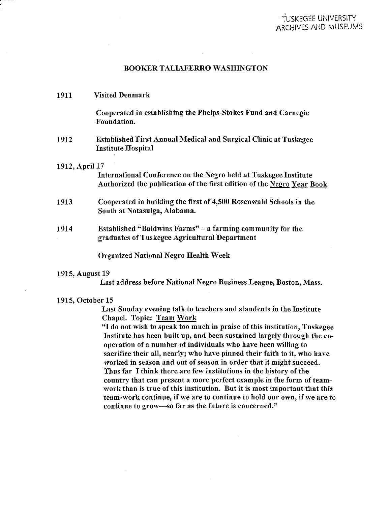### BOOKER TALIAFERRO WASHINGTON

| 1911           | <b>Visited Denmark</b>                                                                                                                     |
|----------------|--------------------------------------------------------------------------------------------------------------------------------------------|
|                | Cooperated in establishing the Phelps-Stokes Fund and Carnegie<br>Foundation.                                                              |
| 1912           | <b>Established First Annual Medical and Surgical Clinic at Tuskegee</b><br><b>Institute Hospital</b>                                       |
| 1912, April 17 | International Conference on the Negro held at Tuskegee Institute<br>Authorized the publication of the first edition of the Negro Year Book |
| 1913           | Cooperated in building the first of 4,500 Rosenwald Schools in the<br>South at Notasulga, Alabama.                                         |
| 1914           | <b>Established "Baldwins Farms"</b> – a farming community for the<br>graduates of Tuskegee Agricultural Department                         |
|                | <b>Organized National Negro Health Week</b>                                                                                                |

#### 1915, August 19

Last address before National Negro Business League, Boston, Mass.

#### 1915, October 15

Last Sunday evening talk to teachers and standents in the Institute Chapel. Topic: Team Work

"I do not wish to speak too much in praise of this institution, Tuskegee Institute has been built up, and been sustained largely through the cooperation of a number of individuals who have been willing to sacrifice their all, nearly; who have pinned their faith to it, who have worked in season and out of season in order that it might succeed. Thus far I think there are few institutions in the history of the country that can present a more perfect example in the form of teamwork than is true of this institution. But it is most important that this team-work continue, if we are to continue to hold our own, if we are to continue to grow—so far as the future is concerned."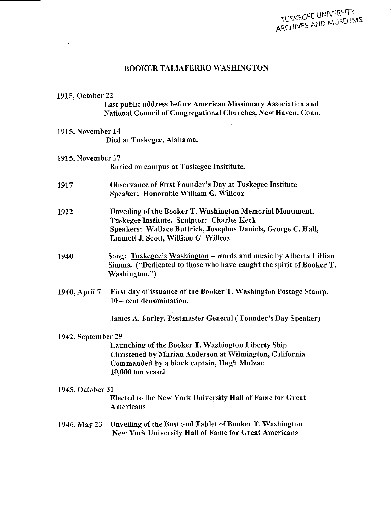#### BOOKER TALIAFERRO WASHINGTON

#### 1915, October 22

Last public address before American Missionary Association and National Council of Congregational Churches, New Haven, Conn.

#### 1915, November 14

Died at Tuskegee, Alabama.

#### 1915, November 17

Buried on campus at Tuskegee Insititute.

- 1917 Observance of First Founder's Day at Tuskegee Institute Speaker: Honorable William G. Willcox
- 1922 Unveiling of the Booker T. Washington Memorial Monument, Tuskegee Institute. Sculptor: Charles Keck Speakers: Wallace Buttrick, Josephus Daniels, George C. Hall, Emmett J. Scott, William G. Wiilcox
- 1940 Song: Tuskegee's Washington words and music by Alberta Lillian Simms. ("Dedicated to those who have caught the spirit of Booker T. Washington.")
- 1940, April 7 First day of issuance of the Booker T. Washington Postage Stamp. 10 - cent denomination.

James A. Farley, Postmaster General (Founder's Day Speaker)

#### 1942, September 29

Launching of the Booker T. Washington Liberty Ship Christened by Marian Anderson at Wilmington, California Commanded by a black captain, Hugh Mulzac 10,000 ton vessel

#### 1945, October 31

Elected to the New York University Hall of Fame for Great Americans

### 1946, May 23 Unveiling of the Bust and Tablet of Booker T. Washington New York University Hall of Fame for Great Americans